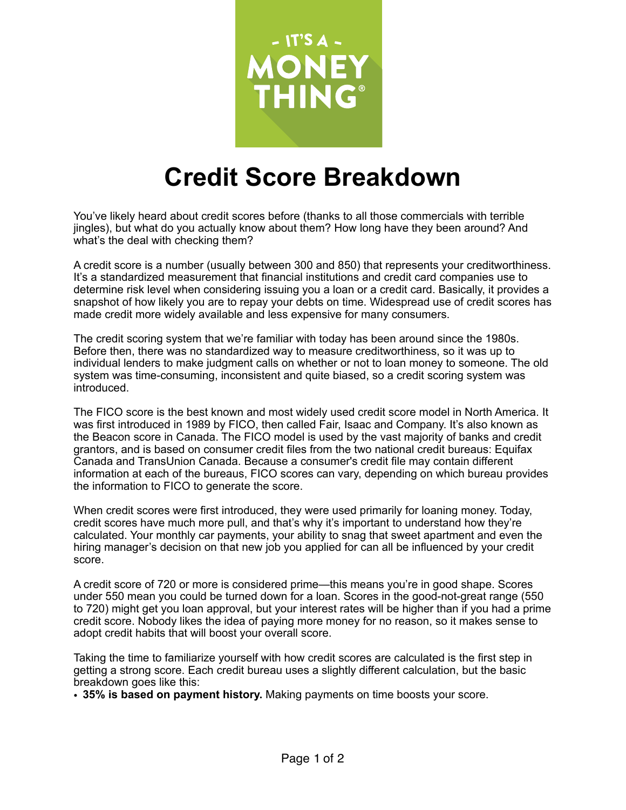

## **Credit Score Breakdown**

You've likely heard about credit scores before (thanks to all those commercials with terrible jingles), but what do you actually know about them? How long have they been around? And what's the deal with checking them?

A credit score is a number (usually between 300 and 850) that represents your creditworthiness. It's a standardized measurement that financial institutions and credit card companies use to determine risk level when considering issuing you a loan or a credit card. Basically, it provides a snapshot of how likely you are to repay your debts on time. Widespread use of credit scores has made credit more widely available and less expensive for many consumers.

The credit scoring system that we're familiar with today has been around since the 1980s. Before then, there was no standardized way to measure creditworthiness, so it was up to individual lenders to make judgment calls on whether or not to loan money to someone. The old system was time-consuming, inconsistent and quite biased, so a credit scoring system was introduced.

The FICO score is the best known and most widely used credit score model in North America. It was first introduced in 1989 by FICO, then called Fair, Isaac and Company. It's also known as the Beacon score in Canada. The FICO model is used by the vast majority of banks and credit grantors, and is based on consumer credit files from the two national credit bureaus: Equifax Canada and TransUnion Canada. Because a consumer's credit file may contain different information at each of the bureaus, FICO scores can vary, depending on which bureau provides the information to FICO to generate the score.

When credit scores were first introduced, they were used primarily for loaning money. Today, credit scores have much more pull, and that's why it's important to understand how they're calculated. Your monthly car payments, your ability to snag that sweet apartment and even the hiring manager's decision on that new job you applied for can all be influenced by your credit score.

A credit score of 720 or more is considered prime—this means you're in good shape. Scores under 550 mean you could be turned down for a loan. Scores in the good-not-great range (550 to 720) might get you loan approval, but your interest rates will be higher than if you had a prime credit score. Nobody likes the idea of paying more money for no reason, so it makes sense to adopt credit habits that will boost your overall score.

Taking the time to familiarize yourself with how credit scores are calculated is the first step in getting a strong score. Each credit bureau uses a slightly different calculation, but the basic breakdown goes like this:

• **35% is based on payment history.** Making payments on time boosts your score.